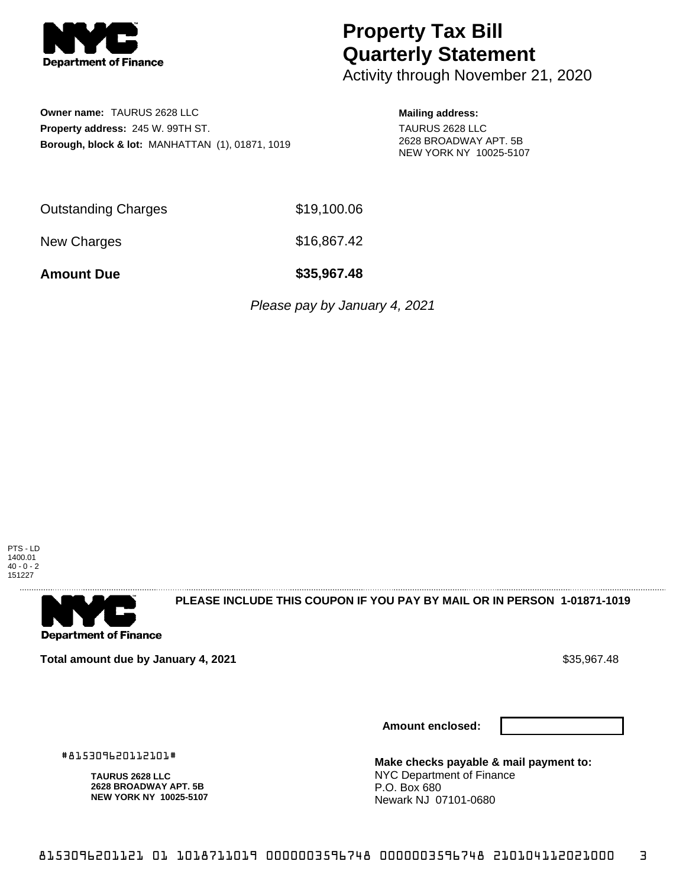

## **Property Tax Bill Quarterly Statement**

Activity through November 21, 2020

**Owner name:** TAURUS 2628 LLC **Property address:** 245 W. 99TH ST. **Borough, block & lot:** MANHATTAN (1), 01871, 1019 **Mailing address:**

TAURUS 2628 LLC 2628 BROADWAY APT. 5B NEW YORK NY 10025-5107

Outstanding Charges \$19,100.06

New Charges \$16,867.42

**Amount Due \$35,967.48**

Please pay by January 4, 2021





**PLEASE INCLUDE THIS COUPON IF YOU PAY BY MAIL OR IN PERSON 1-01871-1019** 

**Total amount due by January 4, 2021**  $\bullet$  **Sample 10 and 2012 12:00 \$35,967.48** 

#815309620112101#

**TAURUS 2628 LLC 2628 BROADWAY APT. 5B NEW YORK NY 10025-5107**

**Amount enclosed:**



**Make checks payable & mail payment to:** NYC Department of Finance P.O. Box 680 Newark NJ 07101-0680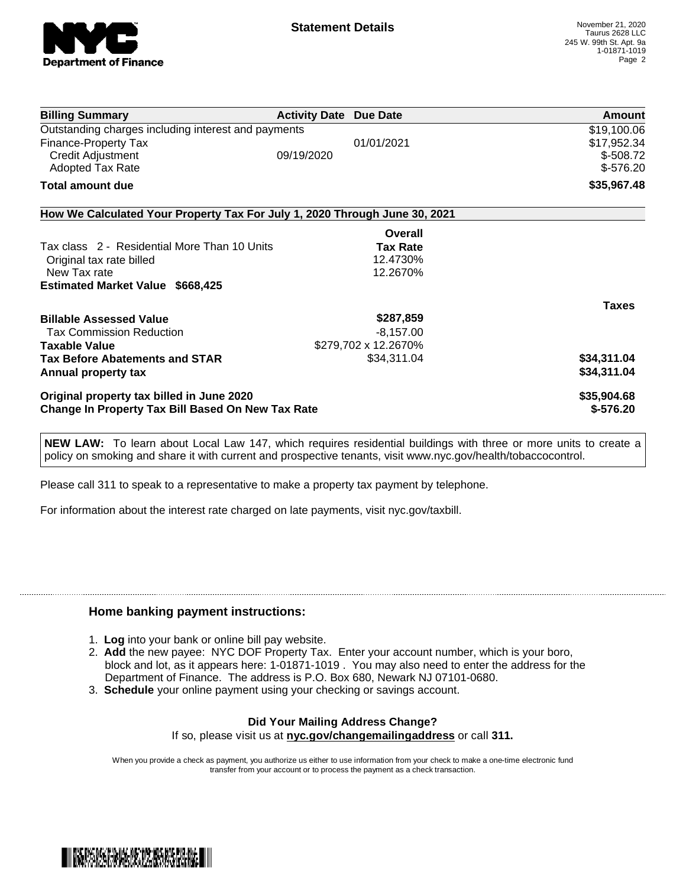

| \$19,100.06<br>\$17,952.34<br>$$-508.72$ |
|------------------------------------------|
|                                          |
|                                          |
|                                          |
| $$-576.20$                               |
| \$35,967.48                              |
|                                          |
|                                          |
|                                          |
|                                          |
|                                          |
|                                          |
| <b>Taxes</b>                             |
|                                          |
|                                          |
|                                          |
| \$34,311.04                              |
| \$34,311.04                              |
| \$35,904.68                              |
| $$-576.20$                               |
|                                          |

**NEW LAW:** To learn about Local Law 147, which requires residential buildings with three or more units to create a policy on smoking and share it with current and prospective tenants, visit www.nyc.gov/health/tobaccocontrol.

Please call 311 to speak to a representative to make a property tax payment by telephone.

For information about the interest rate charged on late payments, visit nyc.gov/taxbill.

## **Home banking payment instructions:**

- 1. **Log** into your bank or online bill pay website.
- 2. **Add** the new payee: NYC DOF Property Tax. Enter your account number, which is your boro, block and lot, as it appears here: 1-01871-1019 . You may also need to enter the address for the Department of Finance. The address is P.O. Box 680, Newark NJ 07101-0680.
- 3. **Schedule** your online payment using your checking or savings account.

## **Did Your Mailing Address Change?** If so, please visit us at **nyc.gov/changemailingaddress** or call **311.**

When you provide a check as payment, you authorize us either to use information from your check to make a one-time electronic fund transfer from your account or to process the payment as a check transaction.